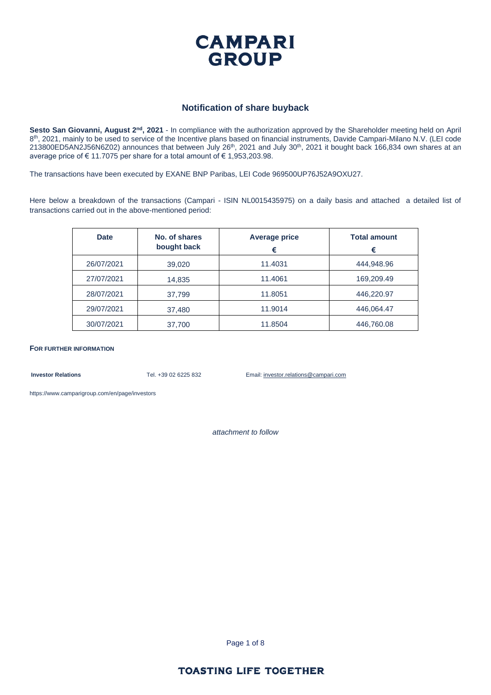

#### **Notification of share buyback**

**Sesto San Giovanni, August 2nd, 2021** - In compliance with the authorization approved by the Shareholder meeting held on April 8<sup>th</sup>, 2021, mainly to be used to service of the Incentive plans based on financial instruments, Davide Campari-Milano N.V. (LEI code 213800ED5AN2J56N6Z02) announces that between July 26<sup>th</sup>, 2021 and July 30<sup>th</sup>, 2021 it bought back 166,834 own shares at an average price of € 11.7075 per share for a total amount of € 1,953,203.98.

The transactions have been executed by EXANE BNP Paribas, LEI Code 969500UP76J52A9OXU27.

Here below a breakdown of the transactions (Campari - ISIN NL0015435975) on a daily basis and attached a detailed list of transactions carried out in the above-mentioned period:

| <b>Date</b> | No. of shares<br>bought back | <b>Average price</b><br>€ | <b>Total amount</b><br>€ |
|-------------|------------------------------|---------------------------|--------------------------|
| 26/07/2021  | 39,020                       | 11.4031                   | 444,948.96               |
| 27/07/2021  | 14,835                       | 11.4061                   | 169,209.49               |
| 28/07/2021  | 37,799                       | 11.8051                   | 446,220.97               |
| 29/07/2021  | 37,480                       | 11.9014                   | 446,064.47               |
| 30/07/2021  | 37,700                       | 11.8504                   | 446,760.08               |

**FOR FURTHER INFORMATION**

**Investor Relations** Tel. +39 02 6225 832 Email: investor.relations@campari.com

[https://www.camparigroup.com/en/page/investors](https://urldefense.proofpoint.com/v2/url?u=https-3A__www.camparigroup.com_en_page_investors&d=DwMFAw&c=XYrWdXnqoGVNRPOyUELP3IXCOEKnVf1zLk3mv6_0vws&r=7duvdfu-gIaiPrAcF5cMQ3C7k4ExOdDC_HToaoAPHZI&m=owk4gVJoOX0Y5PzcaCnrKyxdIRMNjFCG63QhVPH7AUk&s=iCu7Kfnsxig867VkmNLTca3aRN9CMoJdPlGaK-6pYP8&e=)

*attachment to follow*

Page 1 of 8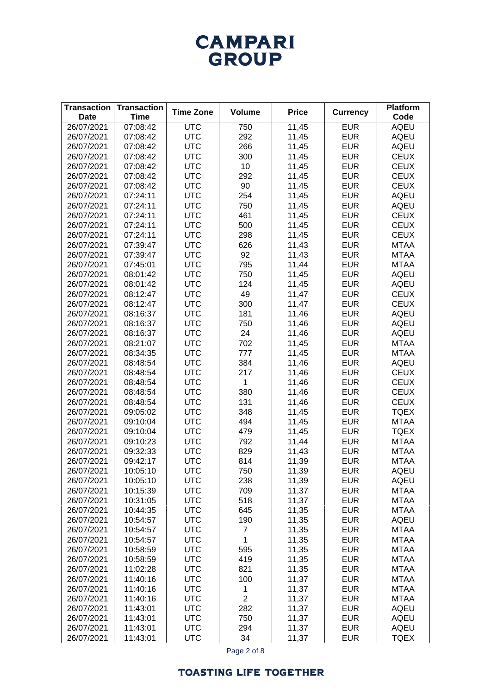## **CAMPARI** GROUP

| <b>Transaction</b><br><b>Date</b> | <b>Transaction</b><br><b>Time</b> | <b>Time Zone</b> | <b>Volume</b>  | <b>Price</b> | <b>Currency</b> | <b>Platform</b><br>Code |
|-----------------------------------|-----------------------------------|------------------|----------------|--------------|-----------------|-------------------------|
| 26/07/2021                        | 07:08:42                          | <b>UTC</b>       | 750            | 11,45        | <b>EUR</b>      | <b>AQEU</b>             |
| 26/07/2021                        | 07:08:42                          | <b>UTC</b>       | 292            | 11,45        | <b>EUR</b>      | <b>AQEU</b>             |
| 26/07/2021                        | 07:08:42                          | <b>UTC</b>       | 266            | 11,45        | <b>EUR</b>      | <b>AQEU</b>             |
| 26/07/2021                        | 07:08:42                          | <b>UTC</b>       | 300            | 11,45        | <b>EUR</b>      | <b>CEUX</b>             |
| 26/07/2021                        | 07:08:42                          | <b>UTC</b>       | 10             | 11,45        | <b>EUR</b>      | <b>CEUX</b>             |
| 26/07/2021                        | 07:08:42                          | <b>UTC</b>       | 292            | 11,45        | <b>EUR</b>      | <b>CEUX</b>             |
| 26/07/2021                        | 07:08:42                          | <b>UTC</b>       | 90             | 11,45        | <b>EUR</b>      | <b>CEUX</b>             |
| 26/07/2021                        | 07:24:11                          | <b>UTC</b>       | 254            | 11,45        | <b>EUR</b>      | AQEU                    |
| 26/07/2021                        | 07:24:11                          | <b>UTC</b>       | 750            | 11,45        | <b>EUR</b>      | <b>AQEU</b>             |
| 26/07/2021                        | 07:24:11                          | <b>UTC</b>       | 461            | 11,45        | <b>EUR</b>      | <b>CEUX</b>             |
| 26/07/2021                        | 07:24:11                          | <b>UTC</b>       | 500            | 11,45        | <b>EUR</b>      | <b>CEUX</b>             |
| 26/07/2021                        | 07:24:11                          | <b>UTC</b>       | 298            | 11,45        | <b>EUR</b>      | <b>CEUX</b>             |
| 26/07/2021                        | 07:39:47                          | <b>UTC</b>       | 626            | 11,43        | <b>EUR</b>      | <b>MTAA</b>             |
| 26/07/2021                        | 07:39:47                          | <b>UTC</b>       | 92             | 11,43        | <b>EUR</b>      | <b>MTAA</b>             |
| 26/07/2021                        | 07:45:01                          | <b>UTC</b>       | 795            | 11,44        | <b>EUR</b>      | <b>MTAA</b>             |
| 26/07/2021                        | 08:01:42                          | <b>UTC</b>       | 750            | 11,45        | <b>EUR</b>      | <b>AQEU</b>             |
| 26/07/2021                        | 08:01:42                          | <b>UTC</b>       | 124            | 11,45        | <b>EUR</b>      | <b>AQEU</b>             |
| 26/07/2021                        | 08:12:47                          | <b>UTC</b>       | 49             | 11,47        | <b>EUR</b>      | <b>CEUX</b>             |
| 26/07/2021                        | 08:12:47                          | <b>UTC</b>       | 300            | 11,47        | <b>EUR</b>      | <b>CEUX</b>             |
| 26/07/2021                        | 08:16:37                          | <b>UTC</b>       | 181            | 11,46        | <b>EUR</b>      | <b>AQEU</b>             |
| 26/07/2021                        | 08:16:37                          | <b>UTC</b>       | 750            | 11,46        | <b>EUR</b>      | <b>AQEU</b>             |
| 26/07/2021                        | 08:16:37                          | <b>UTC</b>       | 24             | 11,46        | <b>EUR</b>      | <b>AQEU</b>             |
| 26/07/2021                        | 08:21:07                          | <b>UTC</b>       | 702            | 11,45        | <b>EUR</b>      | <b>MTAA</b>             |
| 26/07/2021                        | 08:34:35                          | <b>UTC</b>       | 777            | 11,45        | <b>EUR</b>      | <b>MTAA</b>             |
| 26/07/2021                        | 08:48:54                          | <b>UTC</b>       | 384            | 11,46        | <b>EUR</b>      | <b>AQEU</b>             |
| 26/07/2021                        | 08:48:54                          | <b>UTC</b>       | 217            | 11,46        | <b>EUR</b>      | <b>CEUX</b>             |
| 26/07/2021                        | 08:48:54                          | <b>UTC</b>       | 1              | 11,46        | <b>EUR</b>      | <b>CEUX</b>             |
| 26/07/2021                        | 08:48:54                          | <b>UTC</b>       | 380            | 11,46        | <b>EUR</b>      | <b>CEUX</b>             |
| 26/07/2021                        | 08:48:54                          | <b>UTC</b>       | 131            | 11,46        | <b>EUR</b>      | <b>CEUX</b>             |
| 26/07/2021                        | 09:05:02                          | <b>UTC</b>       | 348            | 11,45        | <b>EUR</b>      | <b>TQEX</b>             |
| 26/07/2021                        | 09:10:04                          | <b>UTC</b>       | 494            | 11,45        | <b>EUR</b>      | <b>MTAA</b>             |
| 26/07/2021                        | 09:10:04                          | <b>UTC</b>       | 479            | 11,45        | <b>EUR</b>      | <b>TQEX</b>             |
| 26/07/2021                        | 09:10:23                          | <b>UTC</b>       | 792            | 11,44        | <b>EUR</b>      | <b>MTAA</b>             |
| 26/07/2021                        | 09:32:33                          | <b>UTC</b>       | 829            | 11,43        | <b>EUR</b>      | <b>MTAA</b>             |
| 26/07/2021                        | 09:42:17                          | <b>UTC</b>       | 814            | 11,39        | <b>EUR</b>      | <b>MTAA</b>             |
| 26/07/2021                        | 10:05:10                          | <b>UTC</b>       | 750            | 11,39        | <b>EUR</b>      | AQEU                    |
| 26/07/2021                        | 10:05:10                          | <b>UTC</b>       | 238            | 11,39        | <b>EUR</b>      | AQEU                    |
| 26/07/2021                        | 10:15:39                          | <b>UTC</b>       | 709            | 11,37        | <b>EUR</b>      | <b>MTAA</b>             |
| 26/07/2021                        | 10:31:05                          | <b>UTC</b>       | 518            | 11,37        | <b>EUR</b>      | MTAA                    |
| 26/07/2021                        | 10:44:35                          | <b>UTC</b>       | 645            | 11,35        | <b>EUR</b>      | MTAA                    |
| 26/07/2021                        | 10:54:57                          | <b>UTC</b>       | 190            | 11,35        | <b>EUR</b>      | AQEU                    |
| 26/07/2021                        | 10:54:57                          | <b>UTC</b>       | $\overline{7}$ | 11,35        | <b>EUR</b>      | MTAA                    |
| 26/07/2021                        | 10:54:57                          | <b>UTC</b>       | 1              | 11,35        | <b>EUR</b>      | MTAA                    |
| 26/07/2021                        | 10:58:59                          | <b>UTC</b>       | 595            | 11,35        | <b>EUR</b>      | MTAA                    |
| 26/07/2021                        | 10:58:59                          | <b>UTC</b>       | 419            | 11,35        | <b>EUR</b>      | MTAA                    |
| 26/07/2021                        | 11:02:28                          | <b>UTC</b>       | 821            | 11,35        | <b>EUR</b>      | MTAA                    |
| 26/07/2021                        | 11:40:16                          | <b>UTC</b>       | 100            | 11,37        | <b>EUR</b>      | MTAA                    |
| 26/07/2021                        | 11:40:16                          | <b>UTC</b>       | 1              | 11,37        | <b>EUR</b>      | MTAA                    |
| 26/07/2021                        | 11:40:16                          | <b>UTC</b>       | $\overline{2}$ | 11,37        | <b>EUR</b>      | MTAA                    |
| 26/07/2021                        | 11:43:01                          | <b>UTC</b>       | 282            | 11,37        | <b>EUR</b>      | <b>AQEU</b>             |
| 26/07/2021                        | 11:43:01                          | <b>UTC</b>       | 750            | 11,37        | <b>EUR</b>      | AQEU                    |
| 26/07/2021                        | 11:43:01                          | <b>UTC</b>       | 294            | 11,37        | <b>EUR</b>      | AQEU                    |
| 26/07/2021                        | 11:43:01                          | <b>UTC</b>       | 34             | 11,37        | <b>EUR</b>      | <b>TQEX</b>             |

Page 2 of 8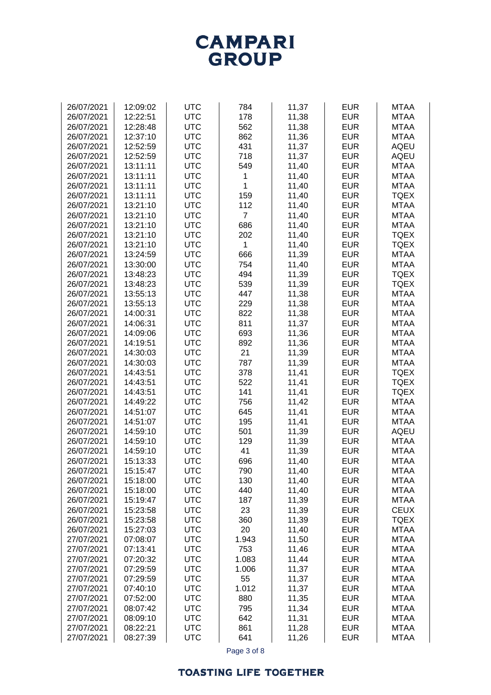# **CAMPARI**<br>GROUP

| 26/07/2021 | 12:09:02 | <b>UTC</b> | 784            | 11,37          | <b>EUR</b> | <b>MTAA</b> |
|------------|----------|------------|----------------|----------------|------------|-------------|
| 26/07/2021 | 12:22:51 | <b>UTC</b> | 178            | 11,38          | <b>EUR</b> | <b>MTAA</b> |
| 26/07/2021 | 12:28:48 | <b>UTC</b> | 562            | 11,38          | <b>EUR</b> | <b>MTAA</b> |
| 26/07/2021 | 12:37:10 | <b>UTC</b> | 862            | 11,36          | <b>EUR</b> | <b>MTAA</b> |
|            | 12:52:59 | <b>UTC</b> | 431            |                | <b>EUR</b> | <b>AQEU</b> |
| 26/07/2021 |          |            |                | 11,37          |            |             |
| 26/07/2021 | 12:52:59 | <b>UTC</b> | 718            | 11,37          | <b>EUR</b> | <b>AQEU</b> |
| 26/07/2021 | 13:11:11 | <b>UTC</b> | 549            | 11,40          | <b>EUR</b> | <b>MTAA</b> |
| 26/07/2021 | 13:11:11 | <b>UTC</b> | 1              | 11,40          | <b>EUR</b> | <b>MTAA</b> |
| 26/07/2021 | 13:11:11 | <b>UTC</b> | 1              | 11,40          | <b>EUR</b> | <b>MTAA</b> |
| 26/07/2021 | 13:11:11 | <b>UTC</b> | 159            | 11,40          | <b>EUR</b> | <b>TQEX</b> |
| 26/07/2021 | 13:21:10 | <b>UTC</b> | 112            | 11,40          | <b>EUR</b> | <b>MTAA</b> |
| 26/07/2021 | 13:21:10 | <b>UTC</b> | $\overline{7}$ | 11,40          | <b>EUR</b> | <b>MTAA</b> |
| 26/07/2021 | 13:21:10 | <b>UTC</b> | 686            | 11,40          | <b>EUR</b> | <b>MTAA</b> |
| 26/07/2021 | 13:21:10 | <b>UTC</b> | 202            | 11,40          | <b>EUR</b> | <b>TQEX</b> |
| 26/07/2021 | 13:21:10 | <b>UTC</b> | 1              | 11,40          | <b>EUR</b> | <b>TQEX</b> |
| 26/07/2021 | 13:24:59 | <b>UTC</b> | 666            | 11,39          | <b>EUR</b> | <b>MTAA</b> |
| 26/07/2021 | 13:30:00 | <b>UTC</b> | 754            | 11,40          | <b>EUR</b> | <b>MTAA</b> |
| 26/07/2021 | 13:48:23 | <b>UTC</b> | 494            | 11,39          | <b>EUR</b> | <b>TQEX</b> |
| 26/07/2021 | 13:48:23 | <b>UTC</b> | 539            | 11,39          | <b>EUR</b> | <b>TQEX</b> |
| 26/07/2021 | 13:55:13 | <b>UTC</b> | 447            | 11,38          | <b>EUR</b> | <b>MTAA</b> |
| 26/07/2021 | 13:55:13 | <b>UTC</b> | 229            | 11,38          | <b>EUR</b> | <b>MTAA</b> |
|            |          |            |                |                |            |             |
| 26/07/2021 | 14:00:31 | <b>UTC</b> | 822            | 11,38          | <b>EUR</b> | <b>MTAA</b> |
| 26/07/2021 | 14:06:31 | <b>UTC</b> | 811            | 11,37          | <b>EUR</b> | <b>MTAA</b> |
| 26/07/2021 | 14:09:06 | <b>UTC</b> | 693            | 11,36          | <b>EUR</b> | <b>MTAA</b> |
| 26/07/2021 | 14:19:51 | <b>UTC</b> | 892            | 11,36          | <b>EUR</b> | <b>MTAA</b> |
| 26/07/2021 | 14:30:03 | <b>UTC</b> | 21             | 11,39          | <b>EUR</b> | <b>MTAA</b> |
| 26/07/2021 | 14:30:03 | <b>UTC</b> | 787            | 11,39          | <b>EUR</b> | <b>MTAA</b> |
| 26/07/2021 | 14:43:51 | <b>UTC</b> | 378            | 11,41          | <b>EUR</b> | <b>TQEX</b> |
| 26/07/2021 | 14:43:51 | <b>UTC</b> | 522            | 11,41          | <b>EUR</b> | <b>TQEX</b> |
| 26/07/2021 | 14:43:51 | <b>UTC</b> | 141            | 11,41          | <b>EUR</b> | <b>TQEX</b> |
| 26/07/2021 | 14:49:22 | <b>UTC</b> | 756            | 11,42          | <b>EUR</b> | <b>MTAA</b> |
| 26/07/2021 | 14:51:07 | <b>UTC</b> | 645            | 11,41          | <b>EUR</b> | <b>MTAA</b> |
| 26/07/2021 | 14:51:07 | <b>UTC</b> | 195            | 11,41          | <b>EUR</b> | <b>MTAA</b> |
| 26/07/2021 | 14:59:10 | <b>UTC</b> | 501            | 11,39          | <b>EUR</b> | <b>AQEU</b> |
| 26/07/2021 | 14:59:10 | <b>UTC</b> | 129            | 11,39          | <b>EUR</b> | <b>MTAA</b> |
| 26/07/2021 | 14:59:10 | <b>UTC</b> | 41             | 11,39          | <b>EUR</b> | <b>MTAA</b> |
| 26/07/2021 | 15:13:33 | <b>UTC</b> | 696            | 11,40          | <b>EUR</b> | <b>MTAA</b> |
| 26/07/2021 | 15:15:47 | <b>UTC</b> | 790            | 11,40          | <b>EUR</b> | <b>MTAA</b> |
| 26/07/2021 | 15:18:00 | <b>UTC</b> | 130            | 11,40          | <b>EUR</b> | <b>MTAA</b> |
| 26/07/2021 | 15:18:00 | <b>UTC</b> | 440            | 11,40          | <b>EUR</b> | <b>MTAA</b> |
| 26/07/2021 | 15:19:47 | <b>UTC</b> | 187            | 11,39          | <b>EUR</b> | <b>MTAA</b> |
| 26/07/2021 | 15:23:58 | <b>UTC</b> | 23             | 11,39          | <b>EUR</b> | <b>CEUX</b> |
| 26/07/2021 | 15:23:58 | <b>UTC</b> | 360            | 11,39          | <b>EUR</b> | <b>TQEX</b> |
| 26/07/2021 | 15:27:03 | <b>UTC</b> | 20             | 11,40          | <b>EUR</b> | <b>MTAA</b> |
| 27/07/2021 | 07:08:07 | <b>UTC</b> | 1.943          | 11,50          | <b>EUR</b> | <b>MTAA</b> |
| 27/07/2021 | 07:13:41 | <b>UTC</b> | 753            | 11,46          | <b>EUR</b> | <b>MTAA</b> |
| 27/07/2021 | 07:20:32 | <b>UTC</b> | 1.083          |                | <b>EUR</b> | <b>MTAA</b> |
| 27/07/2021 | 07:29:59 | <b>UTC</b> | 1.006          | 11,44<br>11,37 | <b>EUR</b> | <b>MTAA</b> |
|            |          |            |                |                |            |             |
| 27/07/2021 | 07:29:59 | <b>UTC</b> | 55             | 11,37          | <b>EUR</b> | <b>MTAA</b> |
| 27/07/2021 | 07:40:10 | <b>UTC</b> | 1.012          | 11,37          | <b>EUR</b> | <b>MTAA</b> |
| 27/07/2021 | 07:52:00 | <b>UTC</b> | 880            | 11,35          | <b>EUR</b> | <b>MTAA</b> |
| 27/07/2021 | 08:07:42 | <b>UTC</b> | 795            | 11,34          | <b>EUR</b> | <b>MTAA</b> |
| 27/07/2021 | 08:09:10 | <b>UTC</b> | 642            | 11,31          | <b>EUR</b> | <b>MTAA</b> |
| 27/07/2021 | 08:22:21 | <b>UTC</b> | 861            | 11,28          | <b>EUR</b> | <b>MTAA</b> |
| 27/07/2021 | 08:27:39 | <b>UTC</b> | 641            | 11,26          | <b>EUR</b> | <b>MTAA</b> |

Page 3 of 8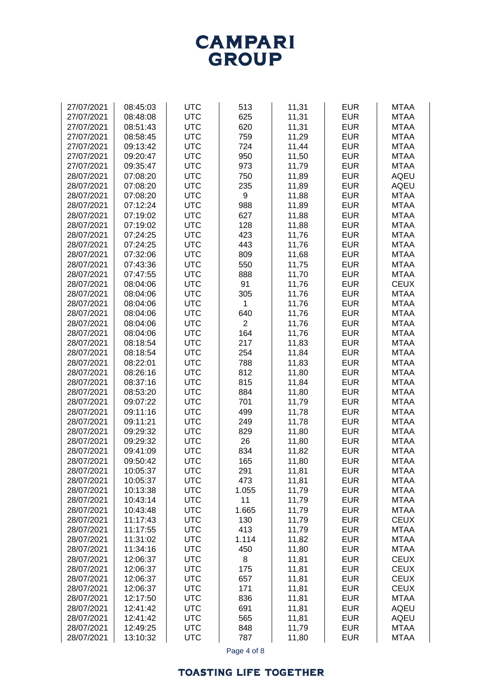

| 27/07/2021 | 08:45:03 | <b>UTC</b> | 513            | 11,31 | <b>EUR</b> | <b>MTAA</b> |
|------------|----------|------------|----------------|-------|------------|-------------|
| 27/07/2021 | 08:48:08 | <b>UTC</b> | 625            | 11,31 | <b>EUR</b> | <b>MTAA</b> |
| 27/07/2021 | 08:51:43 | <b>UTC</b> | 620            | 11,31 | <b>EUR</b> | <b>MTAA</b> |
| 27/07/2021 | 08:58:45 | <b>UTC</b> | 759            | 11,29 | <b>EUR</b> | <b>MTAA</b> |
| 27/07/2021 | 09:13:42 | <b>UTC</b> | 724            | 11,44 | <b>EUR</b> | <b>MTAA</b> |
| 27/07/2021 | 09:20:47 | <b>UTC</b> | 950            | 11,50 | <b>EUR</b> | <b>MTAA</b> |
| 27/07/2021 | 09:35:47 | <b>UTC</b> | 973            | 11,79 | <b>EUR</b> | <b>MTAA</b> |
| 28/07/2021 | 07:08:20 | <b>UTC</b> | 750            | 11,89 | <b>EUR</b> | <b>AQEU</b> |
| 28/07/2021 | 07:08:20 | <b>UTC</b> | 235            | 11,89 | <b>EUR</b> | <b>AQEU</b> |
| 28/07/2021 | 07:08:20 | <b>UTC</b> | 9              | 11,88 | <b>EUR</b> | <b>MTAA</b> |
| 28/07/2021 | 07:12:24 | <b>UTC</b> | 988            | 11,89 | <b>EUR</b> | <b>MTAA</b> |
| 28/07/2021 | 07:19:02 | <b>UTC</b> | 627            | 11,88 | <b>EUR</b> | <b>MTAA</b> |
| 28/07/2021 | 07:19:02 | <b>UTC</b> | 128            | 11,88 | <b>EUR</b> | <b>MTAA</b> |
| 28/07/2021 | 07:24:25 | <b>UTC</b> | 423            | 11,76 | <b>EUR</b> | <b>MTAA</b> |
| 28/07/2021 | 07:24:25 | <b>UTC</b> | 443            | 11,76 | <b>EUR</b> | <b>MTAA</b> |
| 28/07/2021 | 07:32:06 | <b>UTC</b> | 809            | 11,68 | <b>EUR</b> | <b>MTAA</b> |
| 28/07/2021 | 07:43:36 | <b>UTC</b> | 550            | 11,75 | <b>EUR</b> | <b>MTAA</b> |
| 28/07/2021 | 07:47:55 | <b>UTC</b> | 888            | 11,70 | <b>EUR</b> | <b>MTAA</b> |
| 28/07/2021 | 08:04:06 | <b>UTC</b> | 91             | 11,76 | <b>EUR</b> | <b>CEUX</b> |
| 28/07/2021 | 08:04:06 | <b>UTC</b> | 305            | 11,76 | <b>EUR</b> | <b>MTAA</b> |
| 28/07/2021 | 08:04:06 | <b>UTC</b> | 1              | 11,76 | <b>EUR</b> | <b>MTAA</b> |
| 28/07/2021 | 08:04:06 | <b>UTC</b> | 640            | 11,76 | <b>EUR</b> | <b>MTAA</b> |
| 28/07/2021 | 08:04:06 | <b>UTC</b> | $\overline{2}$ | 11,76 | <b>EUR</b> | <b>MTAA</b> |
| 28/07/2021 | 08:04:06 | <b>UTC</b> | 164            | 11,76 | <b>EUR</b> | <b>MTAA</b> |
| 28/07/2021 | 08:18:54 | <b>UTC</b> | 217            | 11,83 | <b>EUR</b> | <b>MTAA</b> |
| 28/07/2021 | 08:18:54 | <b>UTC</b> | 254            | 11,84 | <b>EUR</b> | <b>MTAA</b> |
| 28/07/2021 | 08:22:01 | <b>UTC</b> | 788            | 11,83 | <b>EUR</b> | <b>MTAA</b> |
| 28/07/2021 | 08:26:16 | <b>UTC</b> | 812            | 11,80 | <b>EUR</b> | <b>MTAA</b> |
| 28/07/2021 | 08:37:16 | <b>UTC</b> | 815            | 11,84 | <b>EUR</b> | <b>MTAA</b> |
| 28/07/2021 | 08:53:20 | <b>UTC</b> | 884            | 11,80 | <b>EUR</b> | <b>MTAA</b> |
| 28/07/2021 | 09:07:22 | <b>UTC</b> | 701            | 11,79 | <b>EUR</b> | <b>MTAA</b> |
| 28/07/2021 | 09:11:16 | <b>UTC</b> | 499            | 11,78 | <b>EUR</b> | <b>MTAA</b> |
| 28/07/2021 | 09:11:21 | <b>UTC</b> | 249            | 11,78 | <b>EUR</b> | <b>MTAA</b> |
| 28/07/2021 | 09:29:32 | <b>UTC</b> | 829            | 11,80 | <b>EUR</b> | <b>MTAA</b> |
| 28/07/2021 | 09:29:32 | <b>UTC</b> | 26             | 11,80 | <b>EUR</b> | <b>MTAA</b> |
| 28/07/2021 | 09:41:09 | <b>UTC</b> | 834            | 11,82 | <b>EUR</b> | <b>MTAA</b> |
| 28/07/2021 | 09:50:42 | <b>UTC</b> | 165            | 11,80 | <b>EUR</b> | <b>MTAA</b> |
| 28/07/2021 | 10:05:37 | <b>UTC</b> | 291            | 11,81 | <b>EUR</b> | <b>MTAA</b> |
| 28/07/2021 | 10:05:37 | <b>UTC</b> | 473            | 11,81 | <b>EUR</b> | <b>MTAA</b> |
| 28/07/2021 | 10:13:38 | <b>UTC</b> | 1.055          | 11,79 | <b>EUR</b> | <b>MTAA</b> |
| 28/07/2021 | 10:43:14 | <b>UTC</b> | 11             | 11,79 | <b>EUR</b> | <b>MTAA</b> |
| 28/07/2021 | 10:43:48 | <b>UTC</b> | 1.665          | 11,79 | <b>EUR</b> | <b>MTAA</b> |
| 28/07/2021 | 11:17:43 | <b>UTC</b> | 130            | 11,79 | <b>EUR</b> | <b>CEUX</b> |
| 28/07/2021 | 11:17:55 | <b>UTC</b> | 413            | 11,79 | <b>EUR</b> | <b>MTAA</b> |
| 28/07/2021 | 11:31:02 | <b>UTC</b> | 1.114          | 11,82 | <b>EUR</b> | <b>MTAA</b> |
| 28/07/2021 | 11:34:16 | <b>UTC</b> | 450            | 11,80 | <b>EUR</b> | <b>MTAA</b> |
| 28/07/2021 | 12:06:37 | <b>UTC</b> | 8              | 11,81 | <b>EUR</b> | <b>CEUX</b> |
| 28/07/2021 | 12:06:37 | <b>UTC</b> | 175            | 11,81 | <b>EUR</b> | <b>CEUX</b> |
| 28/07/2021 | 12:06:37 | <b>UTC</b> | 657            | 11,81 | <b>EUR</b> | <b>CEUX</b> |
| 28/07/2021 | 12:06:37 | <b>UTC</b> | 171            | 11,81 | <b>EUR</b> | <b>CEUX</b> |
| 28/07/2021 | 12:17:50 | <b>UTC</b> | 836            | 11,81 | <b>EUR</b> | <b>MTAA</b> |
| 28/07/2021 | 12:41:42 | <b>UTC</b> | 691            | 11,81 | <b>EUR</b> | <b>AQEU</b> |
| 28/07/2021 | 12:41:42 | <b>UTC</b> | 565            | 11,81 | <b>EUR</b> | <b>AQEU</b> |
| 28/07/2021 | 12:49:25 | <b>UTC</b> | 848            | 11,79 | <b>EUR</b> | <b>MTAA</b> |
| 28/07/2021 | 13:10:32 | <b>UTC</b> | 787            | 11,80 | <b>EUR</b> | <b>MTAA</b> |

Page 4 of 8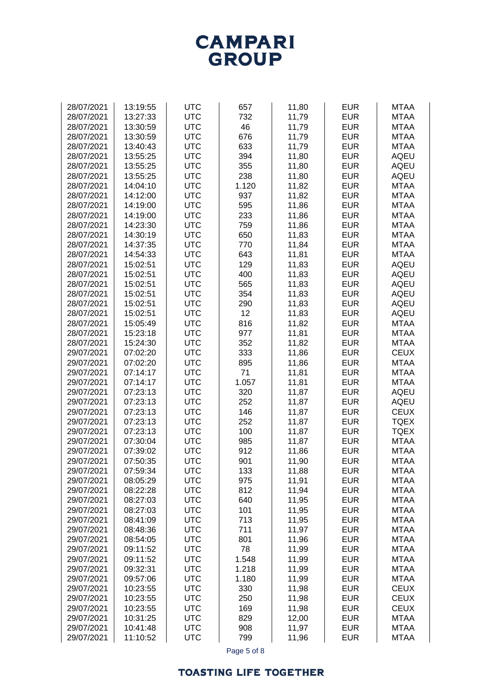## **TOASTING LIFE TOGETHER**

| 28/07/2021               | 13:30:59 | <b>UTC</b> | 46          | 11,79          | <b>EUR</b> | <b>MTAA</b> |
|--------------------------|----------|------------|-------------|----------------|------------|-------------|
| 28/07/2021               | 13:30:59 | <b>UTC</b> | 676         | 11,79          | <b>EUR</b> | <b>MTAA</b> |
| 28/07/2021               | 13:40:43 | <b>UTC</b> | 633         | 11,79          | <b>EUR</b> | <b>MTAA</b> |
| 28/07/2021               | 13:55:25 | <b>UTC</b> | 394         | 11,80          | <b>EUR</b> | <b>AQEU</b> |
| 28/07/2021               | 13:55:25 | <b>UTC</b> | 355         | 11,80          | <b>EUR</b> | <b>AQEU</b> |
| 28/07/2021               | 13:55:25 | <b>UTC</b> | 238         | 11,80          | <b>EUR</b> | <b>AQEU</b> |
| 28/07/2021               | 14:04:10 | <b>UTC</b> | 1.120       | 11,82          | <b>EUR</b> | <b>MTAA</b> |
| 28/07/2021               | 14:12:00 | <b>UTC</b> | 937         | 11,82          | <b>EUR</b> | <b>MTAA</b> |
| 28/07/2021               | 14:19:00 | <b>UTC</b> | 595         | 11,86          | <b>EUR</b> | <b>MTAA</b> |
| 28/07/2021               | 14:19:00 | <b>UTC</b> | 233         | 11,86          | <b>EUR</b> | <b>MTAA</b> |
| 28/07/2021               | 14:23:30 | <b>UTC</b> | 759         | 11,86          | <b>EUR</b> | <b>MTAA</b> |
| 28/07/2021               | 14:30:19 | <b>UTC</b> | 650         | 11,83          | <b>EUR</b> | <b>MTAA</b> |
| 28/07/2021               | 14:37:35 | <b>UTC</b> | 770         | 11,84          | <b>EUR</b> | <b>MTAA</b> |
| 28/07/2021               | 14:54:33 | <b>UTC</b> | 643         | 11,81          | <b>EUR</b> | <b>MTAA</b> |
| 28/07/2021               | 15:02:51 | <b>UTC</b> | 129         | 11,83          | <b>EUR</b> | <b>AQEU</b> |
| 28/07/2021               | 15:02:51 | <b>UTC</b> | 400         | 11,83          | <b>EUR</b> | <b>AQEU</b> |
| 28/07/2021               | 15:02:51 | <b>UTC</b> | 565         | 11,83          | <b>EUR</b> | <b>AQEU</b> |
| 28/07/2021               | 15:02:51 | <b>UTC</b> | 354         | 11,83          | <b>EUR</b> | <b>AQEU</b> |
| 28/07/2021               | 15:02:51 | <b>UTC</b> | 290         | 11,83          | <b>EUR</b> | <b>AQEU</b> |
| 28/07/2021               | 15:02:51 | <b>UTC</b> | 12          | 11,83          | <b>EUR</b> | <b>AQEU</b> |
| 28/07/2021               | 15:05:49 | <b>UTC</b> | 816         | 11,82          | <b>EUR</b> | <b>MTAA</b> |
| 28/07/2021               | 15:23:18 | <b>UTC</b> | 977         | 11,81          | <b>EUR</b> | <b>MTAA</b> |
| 28/07/2021               | 15:24:30 | <b>UTC</b> | 352         | 11,82          | <b>EUR</b> | <b>MTAA</b> |
| 29/07/2021               | 07:02:20 | <b>UTC</b> | 333         | 11,86          | <b>EUR</b> | <b>CEUX</b> |
| 29/07/2021               | 07:02:20 | <b>UTC</b> | 895         | 11,86          | <b>EUR</b> | <b>MTAA</b> |
| 29/07/2021               | 07:14:17 | <b>UTC</b> | 71          | 11,81          | <b>EUR</b> | <b>MTAA</b> |
| 29/07/2021               | 07:14:17 | <b>UTC</b> | 1.057       | 11,81          | <b>EUR</b> | <b>MTAA</b> |
| 29/07/2021               | 07:23:13 | <b>UTC</b> | 320         | 11,87          | <b>EUR</b> | <b>AQEU</b> |
| 29/07/2021               | 07:23:13 | <b>UTC</b> | 252         | 11,87          | <b>EUR</b> | <b>AQEU</b> |
| 29/07/2021               | 07:23:13 | <b>UTC</b> | 146         | 11,87          | <b>EUR</b> | <b>CEUX</b> |
| 29/07/2021               | 07:23:13 | <b>UTC</b> | 252         | 11,87          | <b>EUR</b> | <b>TQEX</b> |
|                          | 07:23:13 | <b>UTC</b> | 100         |                | <b>EUR</b> | <b>TQEX</b> |
| 29/07/2021               |          |            |             | 11,87          |            |             |
| 29/07/2021<br>29/07/2021 | 07:30:04 | <b>UTC</b> | 985         | 11,87<br>11,86 | <b>EUR</b> | <b>MTAA</b> |
|                          | 07:39:02 | <b>UTC</b> | 912         |                | <b>EUR</b> | <b>MTAA</b> |
| 29/07/2021               | 07:50:35 | <b>UTC</b> | 901         | 11,90          | <b>EUR</b> | <b>MTAA</b> |
| 29/07/2021               | 07:59:34 | <b>UTC</b> | 133         | 11,88          | <b>EUR</b> | <b>MTAA</b> |
| 29/07/2021               | 08:05:29 | <b>UTC</b> | 975         | 11,91          | <b>EUR</b> | <b>MTAA</b> |
| 29/07/2021               | 08:22:28 | <b>UTC</b> | 812         | 11,94          | <b>EUR</b> | <b>MTAA</b> |
| 29/07/2021               | 08:27:03 | <b>UTC</b> | 640         | 11,95          | <b>EUR</b> | <b>MTAA</b> |
| 29/07/2021               | 08:27:03 | <b>UTC</b> | 101         | 11,95          | <b>EUR</b> | <b>MTAA</b> |
| 29/07/2021               | 08:41:09 | <b>UTC</b> | 713         | 11,95          | <b>EUR</b> | <b>MTAA</b> |
| 29/07/2021               | 08:48:36 | <b>UTC</b> | 711         | 11,97          | <b>EUR</b> | <b>MTAA</b> |
| 29/07/2021               | 08:54:05 | <b>UTC</b> | 801         | 11,96          | <b>EUR</b> | <b>MTAA</b> |
| 29/07/2021               | 09:11:52 | <b>UTC</b> | 78          | 11,99          | <b>EUR</b> | <b>MTAA</b> |
| 29/07/2021               | 09:11:52 | <b>UTC</b> | 1.548       | 11,99          | <b>EUR</b> | <b>MTAA</b> |
| 29/07/2021               | 09:32:31 | <b>UTC</b> | 1.218       | 11,99          | <b>EUR</b> | <b>MTAA</b> |
| 29/07/2021               | 09:57:06 | <b>UTC</b> | 1.180       | 11,99          | <b>EUR</b> | <b>MTAA</b> |
| 29/07/2021               | 10:23:55 | <b>UTC</b> | 330         | 11,98          | <b>EUR</b> | <b>CEUX</b> |
| 29/07/2021               | 10:23:55 | <b>UTC</b> | 250         | 11,98          | <b>EUR</b> | <b>CEUX</b> |
| 29/07/2021               | 10:23:55 | <b>UTC</b> | 169         | 11,98          | <b>EUR</b> | <b>CEUX</b> |
| 29/07/2021               | 10:31:25 | <b>UTC</b> | 829         | 12,00          | <b>EUR</b> | <b>MTAA</b> |
| 29/07/2021               | 10:41:48 | <b>UTC</b> | 908         | 11,97          | <b>EUR</b> | <b>MTAA</b> |
| 29/07/2021               | 11:10:52 | <b>UTC</b> | 799         | 11,96          | <b>EUR</b> | <b>MTAA</b> |
|                          |          |            | Page 5 of 8 |                |            |             |



28/07/2021 | 13:19:55 | UTC | 657 | 11,80 | EUR | MTAA 28/07/2021 | 13:27:33 | UTC 732 | 11,79 | EUR | MTAA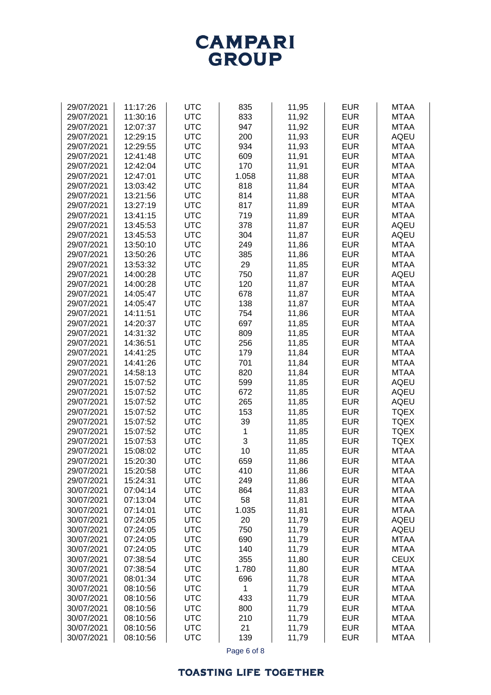## **CAMPARI**<br>GROUP

| 29/07/2021 | 11:17:26 | <b>UTC</b> | 835   | 11,95 | <b>EUR</b> | <b>MTAA</b> |
|------------|----------|------------|-------|-------|------------|-------------|
|            |          | <b>UTC</b> |       |       | <b>EUR</b> |             |
| 29/07/2021 | 11:30:16 |            | 833   | 11,92 |            | <b>MTAA</b> |
| 29/07/2021 | 12:07:37 | <b>UTC</b> | 947   | 11,92 | <b>EUR</b> | <b>MTAA</b> |
| 29/07/2021 | 12:29:15 | <b>UTC</b> | 200   | 11,93 | <b>EUR</b> | <b>AQEU</b> |
| 29/07/2021 | 12:29:55 | <b>UTC</b> | 934   | 11,93 | <b>EUR</b> | <b>MTAA</b> |
| 29/07/2021 | 12:41:48 | <b>UTC</b> | 609   | 11,91 | <b>EUR</b> | <b>MTAA</b> |
|            |          | <b>UTC</b> | 170   |       |            |             |
| 29/07/2021 | 12:42:04 |            |       | 11,91 | <b>EUR</b> | <b>MTAA</b> |
| 29/07/2021 | 12:47:01 | <b>UTC</b> | 1.058 | 11,88 | <b>EUR</b> | <b>MTAA</b> |
| 29/07/2021 | 13:03:42 | <b>UTC</b> | 818   | 11,84 | <b>EUR</b> | <b>MTAA</b> |
| 29/07/2021 | 13:21:56 | <b>UTC</b> | 814   | 11,88 | <b>EUR</b> | <b>MTAA</b> |
| 29/07/2021 | 13:27:19 | <b>UTC</b> | 817   | 11,89 | <b>EUR</b> | <b>MTAA</b> |
| 29/07/2021 | 13:41:15 | <b>UTC</b> | 719   | 11,89 | <b>EUR</b> | <b>MTAA</b> |
|            |          | <b>UTC</b> |       |       | <b>EUR</b> | <b>AQEU</b> |
| 29/07/2021 | 13:45:53 |            | 378   | 11,87 |            |             |
| 29/07/2021 | 13:45:53 | <b>UTC</b> | 304   | 11,87 | <b>EUR</b> | <b>AQEU</b> |
| 29/07/2021 | 13:50:10 | <b>UTC</b> | 249   | 11,86 | <b>EUR</b> | <b>MTAA</b> |
| 29/07/2021 | 13:50:26 | <b>UTC</b> | 385   | 11,86 | <b>EUR</b> | <b>MTAA</b> |
| 29/07/2021 | 13:53:32 | <b>UTC</b> | 29    | 11,85 | <b>EUR</b> | <b>MTAA</b> |
| 29/07/2021 | 14:00:28 | <b>UTC</b> | 750   | 11,87 | <b>EUR</b> | <b>AQEU</b> |
| 29/07/2021 | 14:00:28 | <b>UTC</b> | 120   |       | <b>EUR</b> | <b>MTAA</b> |
|            |          |            |       | 11,87 |            |             |
| 29/07/2021 | 14:05:47 | <b>UTC</b> | 678   | 11,87 | <b>EUR</b> | <b>MTAA</b> |
| 29/07/2021 | 14:05:47 | <b>UTC</b> | 138   | 11,87 | <b>EUR</b> | <b>MTAA</b> |
| 29/07/2021 | 14:11:51 | <b>UTC</b> | 754   | 11,86 | <b>EUR</b> | <b>MTAA</b> |
| 29/07/2021 | 14:20:37 | <b>UTC</b> | 697   | 11,85 | <b>EUR</b> | <b>MTAA</b> |
| 29/07/2021 | 14:31:32 | <b>UTC</b> | 809   | 11,85 | <b>EUR</b> | <b>MTAA</b> |
| 29/07/2021 | 14:36:51 | <b>UTC</b> | 256   | 11,85 | <b>EUR</b> | <b>MTAA</b> |
|            |          |            |       |       |            |             |
| 29/07/2021 | 14:41:25 | <b>UTC</b> | 179   | 11,84 | <b>EUR</b> | <b>MTAA</b> |
| 29/07/2021 | 14:41:26 | <b>UTC</b> | 701   | 11,84 | <b>EUR</b> | <b>MTAA</b> |
| 29/07/2021 | 14:58:13 | <b>UTC</b> | 820   | 11,84 | <b>EUR</b> | <b>MTAA</b> |
| 29/07/2021 | 15:07:52 | <b>UTC</b> | 599   | 11,85 | <b>EUR</b> | <b>AQEU</b> |
| 29/07/2021 | 15:07:52 | <b>UTC</b> | 672   | 11,85 | <b>EUR</b> | <b>AQEU</b> |
| 29/07/2021 | 15:07:52 | <b>UTC</b> | 265   | 11,85 | <b>EUR</b> | <b>AQEU</b> |
| 29/07/2021 | 15:07:52 | <b>UTC</b> | 153   | 11,85 | <b>EUR</b> | <b>TQEX</b> |
|            | 15:07:52 | <b>UTC</b> | 39    |       | <b>EUR</b> | <b>TQEX</b> |
| 29/07/2021 |          |            |       | 11,85 |            |             |
| 29/07/2021 | 15:07:52 | <b>UTC</b> | 1     | 11,85 | <b>EUR</b> | <b>TQEX</b> |
| 29/07/2021 | 15:07:53 | <b>UTC</b> | 3     | 11,85 | <b>EUR</b> | <b>TQEX</b> |
| 29/07/2021 | 15:08:02 | <b>UTC</b> | 10    | 11,85 | <b>EUR</b> | <b>MTAA</b> |
| 29/07/2021 | 15:20:30 | <b>UTC</b> | 659   | 11,86 | <b>EUR</b> | <b>MTAA</b> |
| 29/07/2021 | 15:20:58 | <b>UTC</b> | 410   | 11,86 | <b>EUR</b> | <b>MTAA</b> |
| 29/07/2021 | 15:24:31 | <b>UTC</b> | 249   | 11,86 | <b>EUR</b> | <b>MTAA</b> |
| 30/07/2021 | 07:04:14 | <b>UTC</b> | 864   | 11,83 | <b>EUR</b> | <b>MTAA</b> |
|            |          |            |       |       |            |             |
| 30/07/2021 | 07:13:04 | <b>UTC</b> | 58    | 11,81 | <b>EUR</b> | <b>MTAA</b> |
| 30/07/2021 | 07:14:01 | <b>UTC</b> | 1.035 | 11,81 | <b>EUR</b> | <b>MTAA</b> |
| 30/07/2021 | 07:24:05 | <b>UTC</b> | 20    | 11,79 | <b>EUR</b> | <b>AQEU</b> |
| 30/07/2021 | 07:24:05 | <b>UTC</b> | 750   | 11,79 | <b>EUR</b> | <b>AQEU</b> |
| 30/07/2021 | 07:24:05 | <b>UTC</b> | 690   | 11,79 | <b>EUR</b> | <b>MTAA</b> |
| 30/07/2021 | 07:24:05 | <b>UTC</b> | 140   | 11,79 | <b>EUR</b> | <b>MTAA</b> |
| 30/07/2021 | 07:38:54 | <b>UTC</b> | 355   | 11,80 | <b>EUR</b> | <b>CEUX</b> |
|            |          |            |       |       |            |             |
| 30/07/2021 | 07:38:54 | <b>UTC</b> | 1.780 | 11,80 | <b>EUR</b> | <b>MTAA</b> |
| 30/07/2021 | 08:01:34 | <b>UTC</b> | 696   | 11,78 | <b>EUR</b> | <b>MTAA</b> |
| 30/07/2021 | 08:10:56 | <b>UTC</b> | 1     | 11,79 | <b>EUR</b> | <b>MTAA</b> |
| 30/07/2021 | 08:10:56 | <b>UTC</b> | 433   | 11,79 | <b>EUR</b> | <b>MTAA</b> |
| 30/07/2021 | 08:10:56 | <b>UTC</b> | 800   | 11,79 | <b>EUR</b> | <b>MTAA</b> |
| 30/07/2021 | 08:10:56 | <b>UTC</b> | 210   | 11,79 | <b>EUR</b> | <b>MTAA</b> |
| 30/07/2021 | 08:10:56 | <b>UTC</b> | 21    | 11,79 | <b>EUR</b> | <b>MTAA</b> |
|            |          |            |       |       |            |             |
| 30/07/2021 | 08:10:56 | <b>UTC</b> | 139   | 11,79 | <b>EUR</b> | <b>MTAA</b> |

Page 6 of 8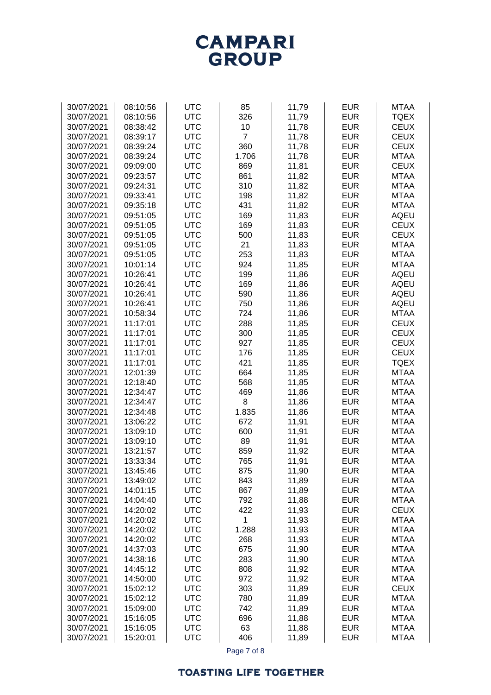# **CAMPARI**<br>GROUP

| 30/07/2021 | 08:10:56 | <b>UTC</b> | 85             | 11,79 | <b>EUR</b> | <b>MTAA</b> |
|------------|----------|------------|----------------|-------|------------|-------------|
| 30/07/2021 | 08:10:56 | <b>UTC</b> | 326            | 11,79 | <b>EUR</b> | <b>TQEX</b> |
|            |          |            |                |       |            |             |
| 30/07/2021 | 08:38:42 | <b>UTC</b> | 10             | 11,78 | <b>EUR</b> | <b>CEUX</b> |
| 30/07/2021 | 08:39:17 | <b>UTC</b> | $\overline{7}$ | 11,78 | <b>EUR</b> | <b>CEUX</b> |
| 30/07/2021 | 08:39:24 | <b>UTC</b> | 360            | 11,78 | <b>EUR</b> | <b>CEUX</b> |
| 30/07/2021 | 08:39:24 | <b>UTC</b> | 1.706          | 11,78 | <b>EUR</b> | <b>MTAA</b> |
| 30/07/2021 | 09:09:00 | <b>UTC</b> | 869            | 11,81 | <b>EUR</b> | <b>CEUX</b> |
|            |          |            |                |       | <b>EUR</b> |             |
| 30/07/2021 | 09:23:57 | <b>UTC</b> | 861            | 11,82 |            | <b>MTAA</b> |
| 30/07/2021 | 09:24:31 | <b>UTC</b> | 310            | 11,82 | <b>EUR</b> | <b>MTAA</b> |
| 30/07/2021 | 09:33:41 | <b>UTC</b> | 198            | 11,82 | <b>EUR</b> | <b>MTAA</b> |
| 30/07/2021 | 09:35:18 | <b>UTC</b> | 431            | 11,82 | <b>EUR</b> | <b>MTAA</b> |
| 30/07/2021 | 09:51:05 | <b>UTC</b> | 169            | 11,83 | <b>EUR</b> | <b>AQEU</b> |
| 30/07/2021 | 09:51:05 | <b>UTC</b> | 169            | 11,83 | <b>EUR</b> | <b>CEUX</b> |
| 30/07/2021 | 09:51:05 | <b>UTC</b> | 500            | 11,83 | <b>EUR</b> | <b>CEUX</b> |
| 30/07/2021 | 09:51:05 | <b>UTC</b> | 21             | 11,83 | <b>EUR</b> | <b>MTAA</b> |
|            |          |            |                |       |            |             |
| 30/07/2021 | 09:51:05 | <b>UTC</b> | 253            | 11,83 | <b>EUR</b> | <b>MTAA</b> |
| 30/07/2021 | 10:01:14 | <b>UTC</b> | 924            | 11,85 | <b>EUR</b> | <b>MTAA</b> |
| 30/07/2021 | 10:26:41 | <b>UTC</b> | 199            | 11,86 | <b>EUR</b> | <b>AQEU</b> |
| 30/07/2021 | 10:26:41 | <b>UTC</b> | 169            | 11,86 | <b>EUR</b> | <b>AQEU</b> |
| 30/07/2021 | 10:26:41 | <b>UTC</b> | 590            | 11,86 | <b>EUR</b> | <b>AQEU</b> |
| 30/07/2021 | 10:26:41 | <b>UTC</b> | 750            | 11,86 | <b>EUR</b> | <b>AQEU</b> |
| 30/07/2021 | 10:58:34 | <b>UTC</b> | 724            |       | <b>EUR</b> | <b>MTAA</b> |
|            |          |            |                | 11,86 |            |             |
| 30/07/2021 | 11:17:01 | <b>UTC</b> | 288            | 11,85 | <b>EUR</b> | <b>CEUX</b> |
| 30/07/2021 | 11:17:01 | <b>UTC</b> | 300            | 11,85 | <b>EUR</b> | <b>CEUX</b> |
| 30/07/2021 | 11:17:01 | <b>UTC</b> | 927            | 11,85 | <b>EUR</b> | <b>CEUX</b> |
| 30/07/2021 | 11:17:01 | <b>UTC</b> | 176            | 11,85 | <b>EUR</b> | <b>CEUX</b> |
| 30/07/2021 | 11:17:01 | <b>UTC</b> | 421            | 11,85 | <b>EUR</b> | <b>TQEX</b> |
| 30/07/2021 | 12:01:39 | <b>UTC</b> | 664            | 11,85 | <b>EUR</b> | <b>MTAA</b> |
| 30/07/2021 | 12:18:40 | <b>UTC</b> | 568            | 11,85 | <b>EUR</b> | <b>MTAA</b> |
| 30/07/2021 | 12:34:47 | <b>UTC</b> | 469            | 11,86 | <b>EUR</b> | <b>MTAA</b> |
|            |          |            |                |       |            |             |
| 30/07/2021 | 12:34:47 | <b>UTC</b> | 8              | 11,86 | <b>EUR</b> | <b>MTAA</b> |
| 30/07/2021 | 12:34:48 | <b>UTC</b> | 1.835          | 11,86 | <b>EUR</b> | <b>MTAA</b> |
| 30/07/2021 | 13:06:22 | <b>UTC</b> | 672            | 11,91 | <b>EUR</b> | <b>MTAA</b> |
| 30/07/2021 | 13:09:10 | <b>UTC</b> | 600            | 11,91 | <b>EUR</b> | <b>MTAA</b> |
| 30/07/2021 | 13:09:10 | <b>UTC</b> | 89             | 11,91 | <b>EUR</b> | <b>MTAA</b> |
| 30/07/2021 | 13:21:57 | <b>UTC</b> | 859            | 11,92 | <b>EUR</b> | <b>MTAA</b> |
| 30/07/2021 | 13:33:34 | <b>UTC</b> | 765            | 11,91 | <b>EUR</b> | <b>MTAA</b> |
| 30/07/2021 | 13:45:46 | <b>UTC</b> | 875            | 11,90 | <b>EUR</b> | <b>MTAA</b> |
| 30/07/2021 | 13:49:02 | <b>UTC</b> | 843            | 11,89 | <b>EUR</b> | <b>MTAA</b> |
|            |          |            |                |       |            |             |
| 30/07/2021 | 14:01:15 | <b>UTC</b> | 867            | 11,89 | <b>EUR</b> | <b>MTAA</b> |
| 30/07/2021 | 14:04:40 | <b>UTC</b> | 792            | 11,88 | <b>EUR</b> | <b>MTAA</b> |
| 30/07/2021 | 14:20:02 | <b>UTC</b> | 422            | 11,93 | <b>EUR</b> | <b>CEUX</b> |
| 30/07/2021 | 14:20:02 | <b>UTC</b> | 1              | 11,93 | <b>EUR</b> | <b>MTAA</b> |
| 30/07/2021 | 14:20:02 | <b>UTC</b> | 1.288          | 11,93 | <b>EUR</b> | <b>MTAA</b> |
| 30/07/2021 | 14:20:02 | <b>UTC</b> | 268            | 11,93 | <b>EUR</b> | <b>MTAA</b> |
| 30/07/2021 | 14:37:03 | <b>UTC</b> | 675            | 11,90 | <b>EUR</b> | <b>MTAA</b> |
| 30/07/2021 | 14:38:16 | <b>UTC</b> | 283            | 11,90 | <b>EUR</b> | <b>MTAA</b> |
| 30/07/2021 | 14:45:12 | <b>UTC</b> | 808            |       | <b>EUR</b> | <b>MTAA</b> |
|            |          |            |                | 11,92 |            |             |
| 30/07/2021 | 14:50:00 | <b>UTC</b> | 972            | 11,92 | <b>EUR</b> | <b>MTAA</b> |
| 30/07/2021 | 15:02:12 | <b>UTC</b> | 303            | 11,89 | <b>EUR</b> | <b>CEUX</b> |
| 30/07/2021 | 15:02:12 | <b>UTC</b> | 780            | 11,89 | <b>EUR</b> | <b>MTAA</b> |
| 30/07/2021 | 15:09:00 | <b>UTC</b> | 742            | 11,89 | <b>EUR</b> | <b>MTAA</b> |
| 30/07/2021 | 15:16:05 | <b>UTC</b> | 696            | 11,88 | <b>EUR</b> | <b>MTAA</b> |
| 30/07/2021 | 15:16:05 | <b>UTC</b> | 63             | 11,88 | <b>EUR</b> | <b>MTAA</b> |
| 30/07/2021 | 15:20:01 | <b>UTC</b> | 406            | 11,89 | <b>EUR</b> | <b>MTAA</b> |
|            |          |            |                |       |            |             |

Page 7 of 8